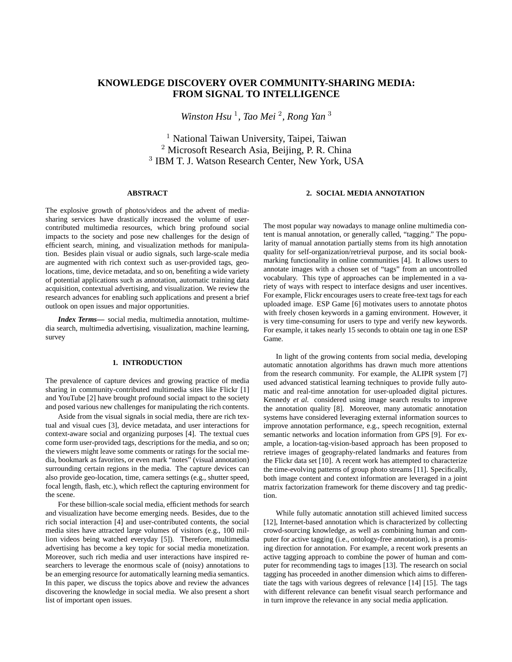# **KNOWLEDGE DISCOVERY OVER COMMUNITY-SHARING MEDIA: FROM SIGNAL TO INTELLIGENCE**

Winston Hsu<sup>1</sup>, Tao Mei<sup>2</sup>, Rong Yan<sup>3</sup>

<sup>1</sup> National Taiwan University, Taipei, Taiwan <sup>2</sup> Microsoft Research Asia, Beijing, P. R. China 3 IBM T. J. Watson Research Center, New York, USA

## **ABSTRACT**

## **2. SOCIAL MEDIA ANNOTATION**

The explosive growth of photos/videos and the advent of mediasharing services have drastically increased the volume of usercontributed multimedia resources, which bring profound social impacts to the society and pose new challenges for the design of efficient search, mining, and visualization methods for manipulation. Besides plain visual or audio signals, such large-scale media are augmented with rich context such as user-provided tags, geolocations, time, device metadata, and so on, benefiting a wide variety of potential applications such as annotation, automatic training data acquisition, contextual advertising, and visualization. We review the research advances for enabling such applications and present a brief outlook on open issues and major opportunities.

*Index Terms***—** social media, multimedia annotation, multimedia search, multimedia advertising, visualization, machine learning, survey

## **1. INTRODUCTION**

The prevalence of capture devices and growing practice of media sharing in community-contributed multimedia sites like Flickr [1] and YouTube [2] have brought profound social impact to the society and posed various new challenges for manipulating the rich contents.

Aside from the visual signals in social media, there are rich textual and visual cues [3], device metadata, and user interactions for context-aware social and organizing purposes [4]. The textual cues come form user-provided tags, descriptions for the media, and so on; the viewers might leave some comments or ratings for the social media, bookmark as favorites, or even mark "notes" (visual annotation) surrounding certain regions in the media. The capture devices can also provide geo-location, time, camera settings (e.g., shutter speed, focal length, flash, etc.), which reflect the capturing environment for the scene.

For these billion-scale social media, efficient methods for search and visualization have become emerging needs. Besides, due to the rich social interaction [4] and user-contributed contents, the social media sites have attracted large volumes of visitors (e.g., 100 million videos being watched everyday [5]). Therefore, multimedia advertising has become a key topic for social media monetization. Moreover, such rich media and user interactions have inspired researchers to leverage the enormous scale of (noisy) annotations to be an emerging resource for automatically learning media semantics. In this paper, we discuss the topics above and review the advances discovering the knowledge in social media. We also present a short list of important open issues.

The most popular way nowadays to manage online multimedia content is manual annotation, or generally called, "tagging." The popularity of manual annotation partially stems from its high annotation quality for self-organization/retrieval purpose, and its social bookmarking functionality in online communities [4]. It allows users to annotate images with a chosen set of "tags" from an uncontrolled vocabulary. This type of approaches can be implemented in a variety of ways with respect to interface designs and user incentives. For example, Flickr encourages users to create free-text tags for each uploaded image. ESP Game [6] motivates users to annotate photos with freely chosen keywords in a gaming environment. However, it is very time-consuming for users to type and verify new keywords. For example, it takes nearly 15 seconds to obtain one tag in one ESP Game.

In light of the growing contents from social media, developing automatic annotation algorithms has drawn much more attentions from the research community. For example, the ALIPR system [7] used advanced statistical learning techniques to provide fully automatic and real-time annotation for user-uploaded digital pictures. Kennedy *et al.* considered using image search results to improve the annotation quality [8]. Moreover, many automatic annotation systems have considered leveraging external information sources to improve annotation performance, e.g., speech recognition, external semantic networks and location information from GPS [9]. For example, a location-tag-vision-based approach has been proposed to retrieve images of geography-related landmarks and features from the Flickr data set [10]. A recent work has attempted to characterize the time-evolving patterns of group photo streams [11]. Specifically, both image content and context information are leveraged in a joint matrix factorization framework for theme discovery and tag prediction.

While fully automatic annotation still achieved limited success [12], Internet-based annotation which is characterized by collecting crowd-sourcing knowledge, as well as combining human and computer for active tagging (i.e., ontology-free annotation), is a promising direction for annotation. For example, a recent work presents an active tagging approach to combine the power of human and computer for recommending tags to images [13]. The research on social tagging has proceeded in another dimension which aims to differentiate the tags with various degrees of relevance [14] [15]. The tags with different relevance can benefit visual search performance and in turn improve the relevance in any social media application.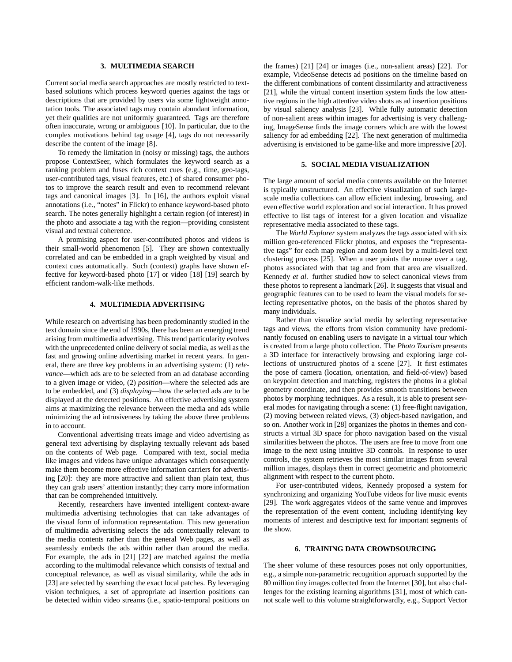#### **3. MULTIMEDIA SEARCH**

Current social media search approaches are mostly restricted to textbased solutions which process keyword queries against the tags or descriptions that are provided by users via some lightweight annotation tools. The associated tags may contain abundant information, yet their qualities are not uniformly guaranteed. Tags are therefore often inaccurate, wrong or ambiguous [10]. In particular, due to the complex motivations behind tag usage [4], tags do not necessarily describe the content of the image [8].

To remedy the limitation in (noisy or missing) tags, the authors propose ContextSeer, which formulates the keyword search as a ranking problem and fuses rich context cues (e.g., time, geo-tags, user-contributed tags, visual features, etc.) of shared consumer photos to improve the search result and even to recommend relevant tags and canonical images [3]. In [16], the authors exploit visual annotations (i.e., "notes" in Flickr) to enhance keyword-based photo search. The notes generally highlight a certain region (of interest) in the photo and associate a tag with the region—providing consistent visual and textual coherence.

A promising aspect for user-contributed photos and videos is their small-world phenomenon [5]. They are shown contextually correlated and can be embedded in a graph weighted by visual and context cues automatically. Such (context) graphs have shown effective for keyword-based photo [17] or video [18] [19] search by efficient random-walk-like methods.

## **4. MULTIMEDIA ADVERTISING**

While research on advertising has been predominantly studied in the text domain since the end of 1990s, there has been an emerging trend arising from multimedia advertising. This trend particularity evolves with the unprecedented online delivery of social media, as well as the fast and growing online advertising market in recent years. In general, there are three key problems in an advertising system: (1) *relevance*—which ads are to be selected from an ad database according to a given image or video, (2) *position*—where the selected ads are to be embedded, and (3) *displaying*—how the selected ads are to be displayed at the detected positions. An effective advertising system aims at maximizing the relevance between the media and ads while minimizing the ad intrusiveness by taking the above three problems in to account.

Conventional advertising treats image and video advertising as general text advertising by displaying textually relevant ads based on the contents of Web page. Compared with text, social media like images and videos have unique advantages which consequently make them become more effective information carriers for advertising [20]: they are more attractive and salient than plain text, thus they can grab users' attention instantly; they carry more information that can be comprehended intuitively.

Recently, researchers have invented intelligent context-aware multimedia advertising technologies that can take advantages of the visual form of information representation. This new generation of multimedia advertising selects the ads contextually relevant to the media contents rather than the general Web pages, as well as seamlessly embeds the ads within rather than around the media. For example, the ads in [21] [22] are matched against the media according to the multimodal relevance which consists of textual and conceptual relevance, as well as visual similarity, while the ads in [23] are selected by searching the exact local patches. By leveraging vision techniques, a set of appropriate ad insertion positions can be detected within video streams (i.e., spatio-temporal positions on

the frames) [21] [24] or images (i.e., non-salient areas) [22]. For example, VideoSense detects ad positions on the timeline based on the different combinations of content dissimilarity and attractiveness [21], while the virtual content insertion system finds the low attentive regions in the high attentive video shots as ad insertion positions by visual saliency analysis [23]. While fully automatic detection of non-salient areas within images for advertising is very challenging, ImageSense finds the image corners which are with the lowest saliency for ad embedding [22]. The next generation of multimedia advertising is envisioned to be game-like and more impressive [20].

## **5. SOCIAL MEDIA VISUALIZATION**

The large amount of social media contents available on the Internet is typically unstructured. An effective visualization of such largescale media collections can allow efficient indexing, browsing, and even effective world exploration and social interaction. It has proved effective to list tags of interest for a given location and visualize representative media associated to these tags.

The *World Explorer* system analyzes the tags associated with six million geo-referenced Flickr photos, and exposes the "representative tags" for each map region and zoom level by a multi-level text clustering process [25]. When a user points the mouse over a tag, photos associated with that tag and from that area are visualized. Kennedy *et al.* further studied how to select canonical views from these photos to represent a landmark [26]. It suggests that visual and geographic features can to be used to learn the visual models for selecting representative photos, on the basis of the photos shared by many individuals.

Rather than visualize social media by selecting representative tags and views, the efforts from vision community have predominantly focused on enabling users to navigate in a virtual tour which is created from a large photo collection. The *Photo Tourism* presents a 3D interface for interactively browsing and exploring large collections of unstructured photos of a scene [27]. It first estimates the pose of camera (location, orientation, and field-of-view) based on keypoint detection and matching, registers the photos in a global geometry coordinate, and then provides smooth transitions between photos by morphing techniques. As a result, it is able to present several modes for navigating through a scene: (1) free-flight navigation, (2) moving between related views, (3) object-based navigation, and so on. Another work in [28] organizes the photos in themes and constructs a virtual 3D space for photo navigation based on the visual similarities between the photos. The users are free to move from one image to the next using intuitive 3D controls. In response to user controls, the system retrieves the most similar images from several million images, displays them in correct geometric and photometric alignment with respect to the current photo.

For user-contributed videos, Kennedy proposed a system for synchronizing and organizing YouTube videos for live music events [29]. The work aggregates videos of the same venue and improves the representation of the event content, including identifying key moments of interest and descriptive text for important segments of the show.

#### **6. TRAINING DATA CROWDSOURCING**

The sheer volume of these resources poses not only opportunities, e.g., a simple non-parametric recognition approach supported by the 80 million tiny images collected from the Internet [30], but also challenges for the existing learning algorithms [31], most of which cannot scale well to this volume straightforwardly, e.g., Support Vector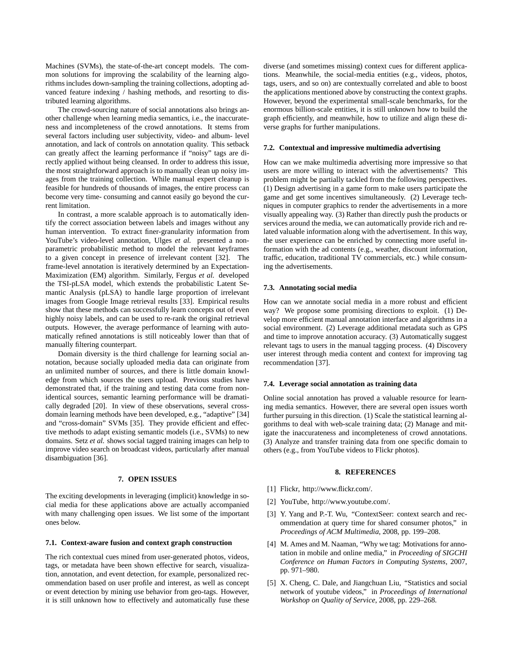Machines (SVMs), the state-of-the-art concept models. The common solutions for improving the scalability of the learning algorithms includes down-sampling the training collections, adopting advanced feature indexing / hashing methods, and resorting to distributed learning algorithms.

The crowd-sourcing nature of social annotations also brings another challenge when learning media semantics, i.e., the inaccurateness and incompleteness of the crowd annotations. It stems from several factors including user subjectivity, video- and album- level annotation, and lack of controls on annotation quality. This setback can greatly affect the learning performance if "noisy" tags are directly applied without being cleansed. In order to address this issue, the most straightforward approach is to manually clean up noisy images from the training collection. While manual expert cleanup is feasible for hundreds of thousands of images, the entire process can become very time- consuming and cannot easily go beyond the current limitation.

In contrast, a more scalable approach is to automatically identify the correct association between labels and images without any human intervention. To extract finer-granularity information from YouTube's video-level annotation, Ulges *et al.* presented a nonparametric probabilistic method to model the relevant keyframes to a given concept in presence of irrelevant content [32]. The frame-level annotation is iteratively determined by an Expectation-Maximization (EM) algorithm. Similarly, Fergus *et al.* developed the TSI-pLSA model, which extends the probabilistic Latent Semantic Analysis (pLSA) to handle large proportion of irrelevant images from Google Image retrieval results [33]. Empirical results show that these methods can successfully learn concepts out of even highly noisy labels, and can be used to re-rank the original retrieval outputs. However, the average performance of learning with automatically refined annotations is still noticeably lower than that of manually filtering counterpart.

Domain diversity is the third challenge for learning social annotation, because socially uploaded media data can originate from an unlimited number of sources, and there is little domain knowledge from which sources the users upload. Previous studies have demonstrated that, if the training and testing data come from nonidentical sources, semantic learning performance will be dramatically degraded [20]. In view of these observations, several crossdomain learning methods have been developed, e.g., "adaptive" [34] and "cross-domain" SVMs [35]. They provide efficient and effective methods to adapt existing semantic models (i.e., SVMs) to new domains. Setz *et al.* shows social tagged training images can help to improve video search on broadcast videos, particularly after manual disambiguation [36].

### **7. OPEN ISSUES**

The exciting developments in leveraging (implicit) knowledge in social media for these applications above are actually accompanied with many challenging open issues. We list some of the important ones below.

### **7.1. Context-aware fusion and context graph construction**

The rich contextual cues mined from user-generated photos, videos, tags, or metadata have been shown effective for search, visualization, annotation, and event detection, for example, personalized recommendation based on user profile and interest, as well as concept or event detection by mining use behavior from geo-tags. However, it is still unknown how to effectively and automatically fuse these diverse (and sometimes missing) context cues for different applications. Meanwhile, the social-media entities (e.g., videos, photos, tags, users, and so on) are contextually correlated and able to boost the applications mentioned above by constructing the context graphs. However, beyond the experimental small-scale benchmarks, for the enormous billion-scale entities, it is still unknown how to build the graph efficiently, and meanwhile, how to utilize and align these diverse graphs for further manipulations.

### **7.2. Contextual and impressive multimedia advertising**

How can we make multimedia advertising more impressive so that users are more willing to interact with the advertisements? This problem might be partially tackled from the following perspectives. (1) Design advertising in a game form to make users participate the game and get some incentives simultaneously. (2) Leverage techniques in computer graphics to render the advertisements in a more visually appealing way. (3) Rather than directly push the products or services around the media, we can automatically provide rich and related valuable information along with the advertisement. In this way, the user experience can be enriched by connecting more useful information with the ad contents (e.g., weather, discount information, traffic, education, traditional TV commercials, etc.) while consuming the advertisements.

## **7.3. Annotating social media**

How can we annotate social media in a more robust and efficient way? We propose some promising directions to exploit. (1) Develop more efficient manual annotation interface and algorithms in a social environment. (2) Leverage additional metadata such as GPS and time to improve annotation accuracy. (3) Automatically suggest relevant tags to users in the manual tagging process. (4) Discovery user interest through media content and context for improving tag recommendation [37].

### **7.4. Leverage social annotation as training data**

Online social annotation has proved a valuable resource for learning media semantics. However, there are several open issues worth further pursuing in this direction. (1) Scale the statistical learning algorithms to deal with web-scale training data; (2) Manage and mitigate the inaccurateness and incompleteness of crowd annotations. (3) Analyze and transfer training data from one specific domain to others (e.g., from YouTube videos to Flickr photos).

#### **8. REFERENCES**

- [1] Flickr, http://www.flickr.com/.
- [2] YouTube, http://www.youtube.com/.
- [3] Y. Yang and P.-T. Wu, "ContextSeer: context search and recommendation at query time for shared consumer photos," in *Proceedings of ACM Multimedia*, 2008, pp. 199–208.
- [4] M. Ames and M. Naaman, "Why we tag: Motivations for annotation in mobile and online media," in *Proceeding of SIGCHI Conference on Human Factors in Computing Systems*, 2007, pp. 971–980.
- [5] X. Cheng, C. Dale, and Jiangchuan Liu, "Statistics and social network of youtube videos," in *Proceedings of International Workshop on Quality of Service*, 2008, pp. 229–268.